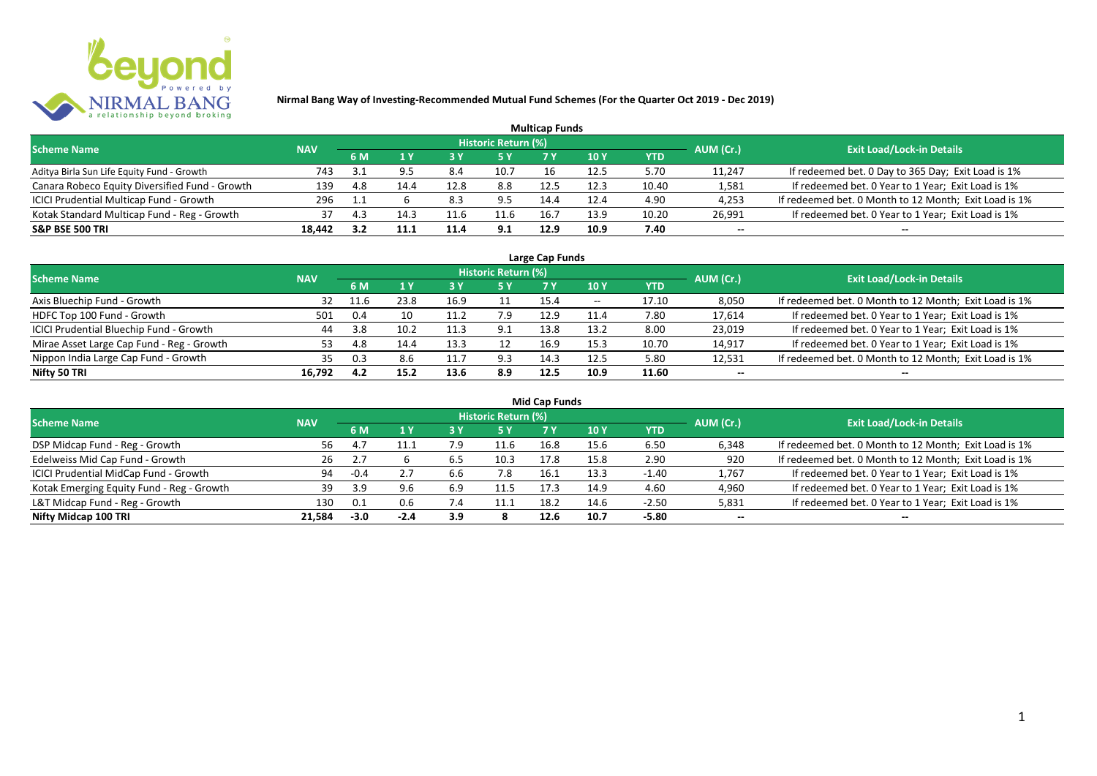

|                                                |            |     |      |      |                     | <b>Multicap Funds</b> |             |            |           |                                                       |
|------------------------------------------------|------------|-----|------|------|---------------------|-----------------------|-------------|------------|-----------|-------------------------------------------------------|
| <b>Scheme Name</b>                             | <b>NAV</b> |     |      |      | Historic Return (%) |                       |             |            | AUM (Cr.) | <b>Exit Load/Lock-in Details</b>                      |
|                                                |            | 6 M |      |      |                     |                       | <b>10 Y</b> | <b>YTD</b> |           |                                                       |
| Aditya Birla Sun Life Equity Fund - Growth     | 743        | 3.1 |      | 8.4  | 10.7                | 16                    | 12.5        | 5.70       | 11,247    | If redeemed bet. 0 Day to 365 Day; Exit Load is 1%    |
| Canara Robeco Equity Diversified Fund - Growth | 139        | 4.8 | 14.4 | 12.8 | 8.8                 | 12.5                  | 12.3        | 10.40      | 1,581     | If redeemed bet. 0 Year to 1 Year; Exit Load is 1%    |
| ICICI Prudential Multicap Fund - Growth        | 296        |     |      | 8.3  | 9.5                 | 14.4                  | 12.4        | 4.90       | 4,253     | If redeemed bet. 0 Month to 12 Month; Exit Load is 1% |
| Kotak Standard Multicap Fund - Reg - Growth    | 37         | 4.3 | 14.  | 11.6 | 11.6                | 16.7                  | 13.9        | 10.20      | 26,991    | If redeemed bet. 0 Year to 1 Year; Exit Load is 1%    |
| <b>S&amp;P BSE 500 TRI</b>                     | 18,442     |     |      | 11.4 | 9.1                 | 12.9                  | 10.9        | 7.40       | $- -$     | $- -$                                                 |

| Large Cap Funds                           |            |      |      |                 |                            |      |            |       |           |                                                       |  |  |  |
|-------------------------------------------|------------|------|------|-----------------|----------------------------|------|------------|-------|-----------|-------------------------------------------------------|--|--|--|
| <b>Scheme Name</b>                        | <b>NAV</b> |      |      |                 | <b>Historic Return (%)</b> |      |            |       | AUM (Cr.) | <b>Exit Load/Lock-in Details</b>                      |  |  |  |
|                                           |            | 6 M  |      |                 | 5 Y                        |      | <b>10Y</b> | YTD   |           |                                                       |  |  |  |
| Axis Bluechip Fund - Growth               | 32         | 11.6 | 23.8 | 16.9            | 11                         | 15.4 | $- -$      | 17.10 | 8,050     | If redeemed bet. 0 Month to 12 Month; Exit Load is 1% |  |  |  |
| HDFC Top 100 Fund - Growth                | 501        | 0.4  | 10   | 11.7<br><b></b> | 7.9                        | 12.9 | 11.4       | 7.80  | 17,614    | If redeemed bet. 0 Year to 1 Year; Exit Load is 1%    |  |  |  |
| ICICI Prudential Bluechip Fund - Growth   | 44         | 3.8  | 10.2 | 11.3            | 9.1                        | 13.8 | 13.2       | 8.00  | 23,019    | If redeemed bet. 0 Year to 1 Year; Exit Load is 1%    |  |  |  |
| Mirae Asset Large Cap Fund - Reg - Growth | 53         | 4.8  | 14.4 | 13.3            |                            | 16.9 | 15.3       | 10.70 | 14,917    | If redeemed bet. 0 Year to 1 Year; Exit Load is 1%    |  |  |  |
| Nippon India Large Cap Fund - Growth      | 35         | 0.3  | 8.6  | <b>LL.</b>      | 9.3                        | 14.3 | 12.5       | 5.80  | 12,531    | If redeemed bet. 0 Month to 12 Month; Exit Load is 1% |  |  |  |
| Nifty 50 TRI                              | 16.792     | 4.2  | 15.2 | 13.6            | 8.9                        | 12.5 | 10.9       | 11.60 | $- -$     | $- -$                                                 |  |  |  |

| <b>Mid Cap Funds</b>                      |            |        |        |     |                            |      |      |            |           |                                                       |  |  |  |  |
|-------------------------------------------|------------|--------|--------|-----|----------------------------|------|------|------------|-----------|-------------------------------------------------------|--|--|--|--|
| <b>Scheme Name</b>                        | <b>NAV</b> |        |        |     | <b>Historic Return (%)</b> |      |      |            | AUM (Cr.) | <b>Exit Load/Lock-in Details</b>                      |  |  |  |  |
|                                           |            | 6 M    |        |     | <b>5Y</b>                  | 7 Y  | 10 Y | <b>YTD</b> |           |                                                       |  |  |  |  |
| DSP Midcap Fund - Reg - Growth            | 56         | 4.     | 11.1   |     | 11.6                       | 16.8 | 15.6 | 6.50       | 6,348     | If redeemed bet. 0 Month to 12 Month; Exit Load is 1% |  |  |  |  |
| Edelweiss Mid Cap Fund - Growth           | 26         |        |        | 6.5 | 10.3                       | 17.8 | 15.8 | 2.90       | 920       | If redeemed bet. 0 Month to 12 Month; Exit Load is 1% |  |  |  |  |
| ICICI Prudential MidCap Fund - Growth     | 94         | -0.4   | 2.7    | b.b | 7.8                        | 16.1 | 13.3 | -1.40      | 1,767     | If redeemed bet. 0 Year to 1 Year; Exit Load is 1%    |  |  |  |  |
| Kotak Emerging Equity Fund - Reg - Growth | 39         | 3.9    | 9.6    | 6.9 | 11.5                       | 17.5 | 14.9 | 4.60       | 4,960     | If redeemed bet. 0 Year to 1 Year; Exit Load is 1%    |  |  |  |  |
| L&T Midcap Fund - Reg - Growth            | 130        | 0.1    | 0.6    | 7.4 | 11.1                       | 18.2 | 14.6 | $-2.50$    | 5,831     | If redeemed bet. 0 Year to 1 Year; Exit Load is 1%    |  |  |  |  |
| Nifty Midcap 100 TRI                      | 21.584     | $-3.0$ | $-2.4$ | 3.9 |                            | 12.6 | 10.7 | -5.80      | $- -$     | $- -$                                                 |  |  |  |  |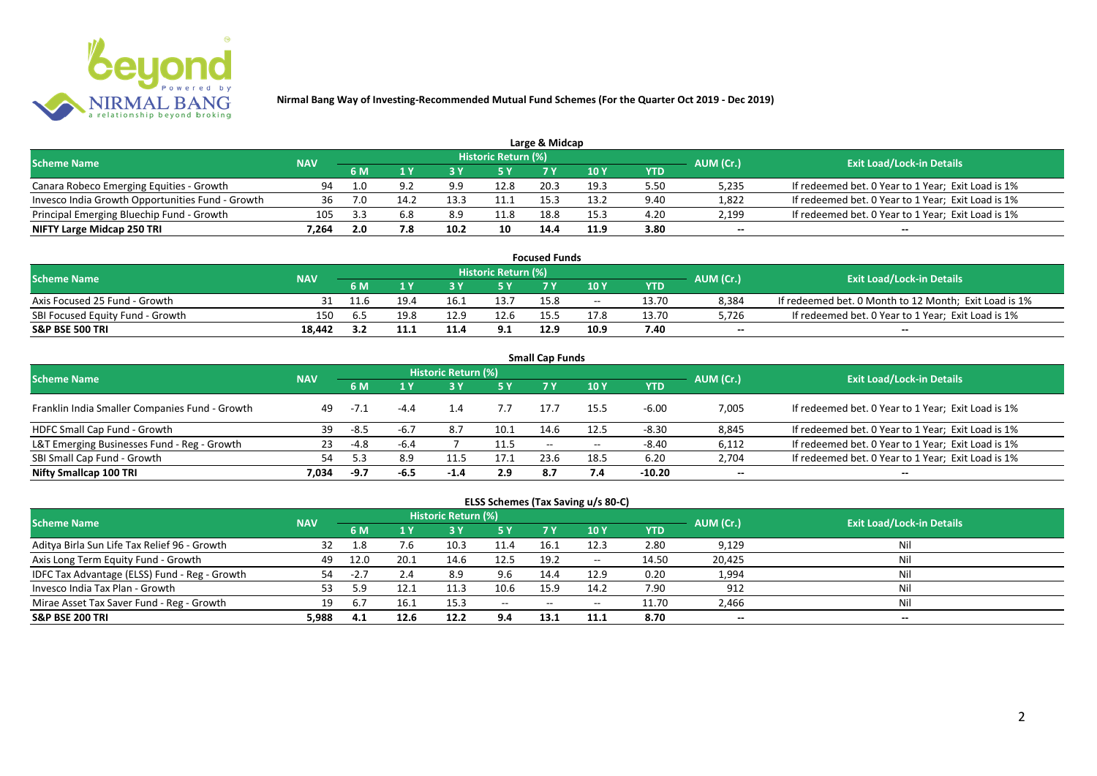

|                                                  |            |     |      |      |                            | Large & Midcap |      |      |           |                                                    |
|--------------------------------------------------|------------|-----|------|------|----------------------------|----------------|------|------|-----------|----------------------------------------------------|
| <b>Scheme Name</b>                               | <b>NAV</b> |     |      |      | <b>Historic Return (%)</b> |                |      |      | AUM (Cr.) | <b>Exit Load/Lock-in Details</b>                   |
|                                                  |            | 6 M |      |      | 5 Y                        |                |      | YTD  |           |                                                    |
| Canara Robeco Emerging Equities - Growth         | 94         | 1.0 |      | 9.9  | 12.8                       | 20.3           | 19.3 | 5.50 | 5,235     | If redeemed bet. 0 Year to 1 Year; Exit Load is 1% |
| Invesco India Growth Opportunities Fund - Growth |            | 7.0 | 14.2 | 13.3 |                            | 15 R           | 13.2 | 9.40 | 1,822     | If redeemed bet. 0 Year to 1 Year; Exit Load is 1% |
| Principal Emerging Bluechip Fund - Growth        | 105        |     | 6.8  | 8.9  | 11.8                       | 18.8           | 15.3 | 4.20 | 2,199     | If redeemed bet. 0 Year to 1 Year; Exit Load is 1% |
| NIFTY Large Midcap 250 TRI                       | 7.264      | 2.0 |      | 10.2 | 10                         | 14.4           | 11.9 | 3.80 | $- -$     | $- -$                                              |

| <b>Focused Funds</b>             |            |      |      |      |                            |      |       |       |           |                                                       |  |  |  |
|----------------------------------|------------|------|------|------|----------------------------|------|-------|-------|-----------|-------------------------------------------------------|--|--|--|
| <b>Scheme Name</b>               | <b>NAV</b> |      |      |      | <b>Historic Return (%)</b> |      |       |       | AUM (Cr.) | <b>Exit Load/Lock-in Details</b>                      |  |  |  |
|                                  |            | 6 M  |      |      | 5 Y                        |      | 10 Y  | YTD   |           |                                                       |  |  |  |
| Axis Focused 25 Fund - Growth    |            | 11.6 | 19.4 | 16.1 | 13.7                       | 15.8 | $- -$ | 13.70 | 8,384     | If redeemed bet. 0 Month to 12 Month; Exit Load is 1% |  |  |  |
| SBI Focused Equity Fund - Growth | 150        | . ხა | 19.8 | 12.9 | 12.6                       |      | 17.8  | 13.70 | 5,726     | If redeemed bet. 0 Year to 1 Year; Exit Load is 1%    |  |  |  |
| <b>S&amp;P BSE 500 TRI</b>       | 18.442     |      | 11.1 | 11.4 | 9.1                        | 12.9 | 10.9  | 7.40  | $- -$     | $-$                                                   |  |  |  |

| <b>Small Cap Funds</b>                         |            |        |        |                     |      |                          |                 |            |           |                                                    |  |  |  |
|------------------------------------------------|------------|--------|--------|---------------------|------|--------------------------|-----------------|------------|-----------|----------------------------------------------------|--|--|--|
| <b>Scheme Name</b>                             | <b>NAV</b> |        |        | Historic Return (%) |      |                          |                 |            | AUM (Cr.) | <b>Exit Load/Lock-in Details</b>                   |  |  |  |
|                                                |            |        |        |                     | 5 Y  | 7 Y                      | 10 <sub>Y</sub> | <b>YTD</b> |           |                                                    |  |  |  |
| Franklin India Smaller Companies Fund - Growth | 49         | $-7.1$ | -4.4   | 1.4                 | 7.7  | 17.7                     | 15.5            | $-6.00$    | 7,005     | If redeemed bet. 0 Year to 1 Year; Exit Load is 1% |  |  |  |
| HDFC Small Cap Fund - Growth                   | 39         | -8.5   | $-6.7$ | 8.7                 | 10.1 | 14.6                     | 12.5            | $-8.30$    | 8,845     | If redeemed bet. 0 Year to 1 Year; Exit Load is 1% |  |  |  |
| L&T Emerging Businesses Fund - Reg - Growth    | 23         | -4.8   | -6.4   |                     | 11.5 | $\overline{\phantom{a}}$ | $- -$           | $-8.40$    | 6,112     | If redeemed bet. 0 Year to 1 Year; Exit Load is 1% |  |  |  |
| SBI Small Cap Fund - Growth                    | 54         |        | 8.9    |                     | 17.1 | 23.6                     | 18.5            | 6.20       | 2,704     | If redeemed bet. 0 Year to 1 Year; Exit Load is 1% |  |  |  |
| Nifty Smallcap 100 TRI                         | 7.034      | -9.7   | $-6.5$ | -1.4                | 2.9  | -8.7                     | 7.4             | $-10.20$   | $- -$     | --                                                 |  |  |  |

## **ELSS Schemes (Tax Saving u/s 80-C)**

| <b>Scheme Name</b>                            | <b>NAV</b> |                 |      | <b>Historic Return (%)</b> |           |       |               |       | AUM (Cr.) | <b>Exit Load/Lock-in Details</b> |
|-----------------------------------------------|------------|-----------------|------|----------------------------|-----------|-------|---------------|-------|-----------|----------------------------------|
|                                               |            | 6 M             |      |                            | <b>5Y</b> | 7 Y   | <b>10Y</b>    | YTD   |           |                                  |
| Aditya Birla Sun Life Tax Relief 96 - Growth  | 32         | 1.8             | 7.6  | 10.3                       | 11.4      | 16.1  | 12.3          | 2.80  | 9,129     | Nil                              |
| Axis Long Term Equity Fund - Growth           | 49         | 12.0            | 20.1 | 14.6                       | 12.5      | 19.2  | $\sim$ $\sim$ | 14.50 | 20,425    | Nil                              |
| IDFC Tax Advantage (ELSS) Fund - Reg - Growth | 54         | -4.             | 2.4  | 8.9                        | 9.6       | 14.4  | 12.9          | 0.20  | 1,994     | Nil                              |
| Invesco India Tax Plan - Growth               |            | .9 <sub>1</sub> |      | 11.3                       | 10.6      | 15.9  | 14.2          | 7.90  | 912       | Nil                              |
| Mirae Asset Tax Saver Fund - Reg - Growth     | 19         | 6.7             | 16.1 | 15.3                       | $  \,$    | $- -$ | $- -$         | 11.70 | 2,466     | Nil                              |
| <b>S&amp;P BSE 200 TRI</b>                    | 5.988      | 4.1             | 12.6 | 12.2                       | 9.4       | 13.1  | 11.1          | 8.70  | $- -$     | $- -$                            |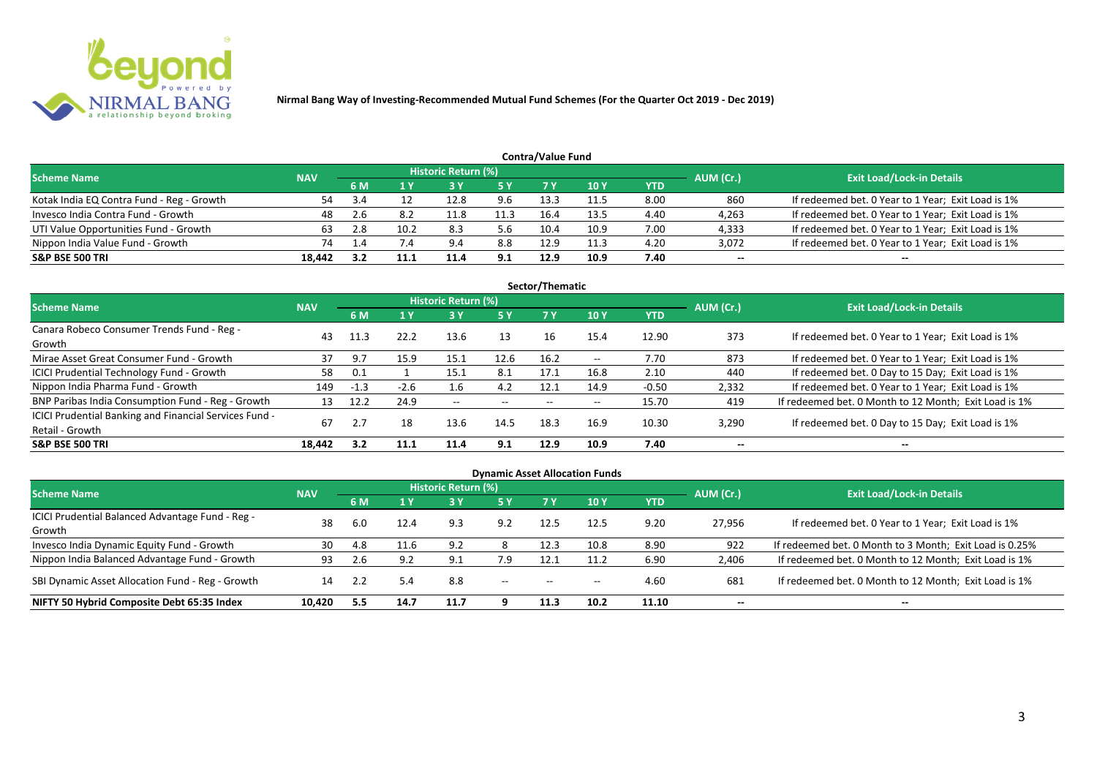

| <b>Contra/Value Fund</b>                  |            |      |                 |                            |           |      |      |      |           |                                                    |  |  |  |
|-------------------------------------------|------------|------|-----------------|----------------------------|-----------|------|------|------|-----------|----------------------------------------------------|--|--|--|
| <b>Scheme Name</b>                        | <b>NAV</b> |      |                 | <b>Historic Return (%)</b> |           |      |      |      | AUM (Cr.) | <b>Exit Load/Lock-in Details</b>                   |  |  |  |
|                                           |            | 6 M  |                 |                            | <b>5Y</b> |      | 10 Y | YTD  |           |                                                    |  |  |  |
| Kotak India EQ Contra Fund - Reg - Growth | 54         | -3.4 |                 | 12.8                       | 9.6       | 13.3 | 11.5 | 8.00 | 860       | If redeemed bet. 0 Year to 1 Year; Exit Load is 1% |  |  |  |
| Invesco India Contra Fund - Growth        | 48         |      | 8.2             | 11.8                       | 11.3      | 16.4 | 13.5 | 4.40 | 4,263     | If redeemed bet. 0 Year to 1 Year; Exit Load is 1% |  |  |  |
| UTI Value Opportunities Fund - Growth     | 63         |      | 10.2            | 8.3                        | 5.6       | 10.4 | 10.9 | 7.00 | 4,333     | If redeemed bet. 0 Year to 1 Year; Exit Load is 1% |  |  |  |
| Nippon India Value Fund - Growth          | 74         |      | $\overline{.4}$ | 9.4                        | 8.8       | 12.9 | 11.3 | 4.20 | 3,072     | If redeemed bet. 0 Year to 1 Year; Exit Load is 1% |  |  |  |
| <b>S&amp;P BSE 500 TRI</b>                | 18.442     |      | 11.1            | 11.4                       | 9.1       | 12.9 | 10.9 | 7.40 | $- -$     | $- -$                                              |  |  |  |

| Sector/Thematic                                                           |            |        |        |                            |            |                          |                          |            |           |                                                       |  |  |  |
|---------------------------------------------------------------------------|------------|--------|--------|----------------------------|------------|--------------------------|--------------------------|------------|-----------|-------------------------------------------------------|--|--|--|
| <b>Scheme Name</b>                                                        | <b>NAV</b> |        |        | <b>Historic Return (%)</b> |            |                          |                          |            | AUM (Cr.) | <b>Exit Load/Lock-in Details</b>                      |  |  |  |
|                                                                           |            | 6 M    | 1 Y    | 3V                         | <b>5 Y</b> | 7 Y                      | <b>10Y</b>               | <b>YTD</b> |           |                                                       |  |  |  |
| Canara Robeco Consumer Trends Fund - Reg -<br>Growth                      | 43         | 11.3   | 22.2   | 13.6                       | 13         | 16                       | 15.4                     | 12.90      | 373       | If redeemed bet. 0 Year to 1 Year; Exit Load is 1%    |  |  |  |
| Mirae Asset Great Consumer Fund - Growth                                  | 37         | 9.7    | 15.9   | 15.1                       | 12.6       | 16.2                     | $- -$                    | 7.70       | 873       | If redeemed bet. 0 Year to 1 Year; Exit Load is 1%    |  |  |  |
| ICICI Prudential Technology Fund - Growth                                 | 58         | 0.1    |        | 15.1                       | 8.1        | 17.1                     | 16.8                     | 2.10       | 440       | If redeemed bet. 0 Day to 15 Day; Exit Load is 1%     |  |  |  |
| Nippon India Pharma Fund - Growth                                         | 149        | $-1.3$ | $-2.6$ | 1.6                        | 4.2        | 12.1                     | 14.9                     | $-0.50$    | 2,332     | If redeemed bet. 0 Year to 1 Year; Exit Load is 1%    |  |  |  |
| BNP Paribas India Consumption Fund - Reg - Growth                         | 13         | 12.2   | 24.9   | $\sim$ $\sim$              | $- -$      | $\overline{\phantom{a}}$ | $\overline{\phantom{a}}$ | 15.70      | 419       | If redeemed bet. 0 Month to 12 Month; Exit Load is 1% |  |  |  |
| ICICI Prudential Banking and Financial Services Fund -<br>Retail - Growth | 67         |        | 18     | 13.6                       | 14.5       | 18.3                     | 16.9                     | 10.30      | 3,290     | If redeemed bet. 0 Day to 15 Day; Exit Load is 1%     |  |  |  |
| <b>S&amp;P BSE 500 TRI</b>                                                | 18.442     | 3.2    | 11.1   | 11.4                       | 9.1        | 12.9                     | 10.9                     | 7.40       | --        | $- -$                                                 |  |  |  |

| <b>Dynamic Asset Allocation Funds</b>                      |            |      |      |                            |           |                          |            |            |           |                                                         |  |  |  |
|------------------------------------------------------------|------------|------|------|----------------------------|-----------|--------------------------|------------|------------|-----------|---------------------------------------------------------|--|--|--|
| Scheme Name                                                | <b>NAV</b> |      |      | <b>Historic Return (%)</b> |           |                          |            |            | AUM (Cr.) | <b>Exit Load/Lock-in Details</b>                        |  |  |  |
|                                                            |            | 6 M  |      | <b>3 Y</b>                 | <b>5Y</b> | 7Y                       | <b>10Y</b> | <b>YTD</b> |           |                                                         |  |  |  |
| ICICI Prudential Balanced Advantage Fund - Reg -<br>Growth | 38         | -6.0 | 12.4 | 9.3                        | 9.2       | 12.5                     | 12.5       | 9.20       | 27,956    | If redeemed bet. 0 Year to 1 Year; Exit Load is 1%      |  |  |  |
| Invesco India Dynamic Equity Fund - Growth                 | 30         | 4.8  | 11.6 | 9.2                        |           | 12.3                     | 10.8       | 8.90       | 922       | If redeemed bet. 0 Month to 3 Month; Exit Load is 0.25% |  |  |  |
| Nippon India Balanced Advantage Fund - Growth              | 93         |      | 9.2  | 9.1                        | 7.9       | 12.1                     | 11.2       | 6.90       | 2,406     | If redeemed bet. 0 Month to 12 Month; Exit Load is 1%   |  |  |  |
| SBI Dynamic Asset Allocation Fund - Reg - Growth           | 14         |      | 5.4  | 8.8                        | $\sim$    | $\overline{\phantom{a}}$ | $- -$      | 4.60       | 681       | If redeemed bet. 0 Month to 12 Month; Exit Load is 1%   |  |  |  |
| NIFTY 50 Hybrid Composite Debt 65:35 Index                 | 10.420     | 5.5  | 14.7 | 11.7                       |           | 11.3                     | 10.2       | 11.10      | $- -$     | $- -$                                                   |  |  |  |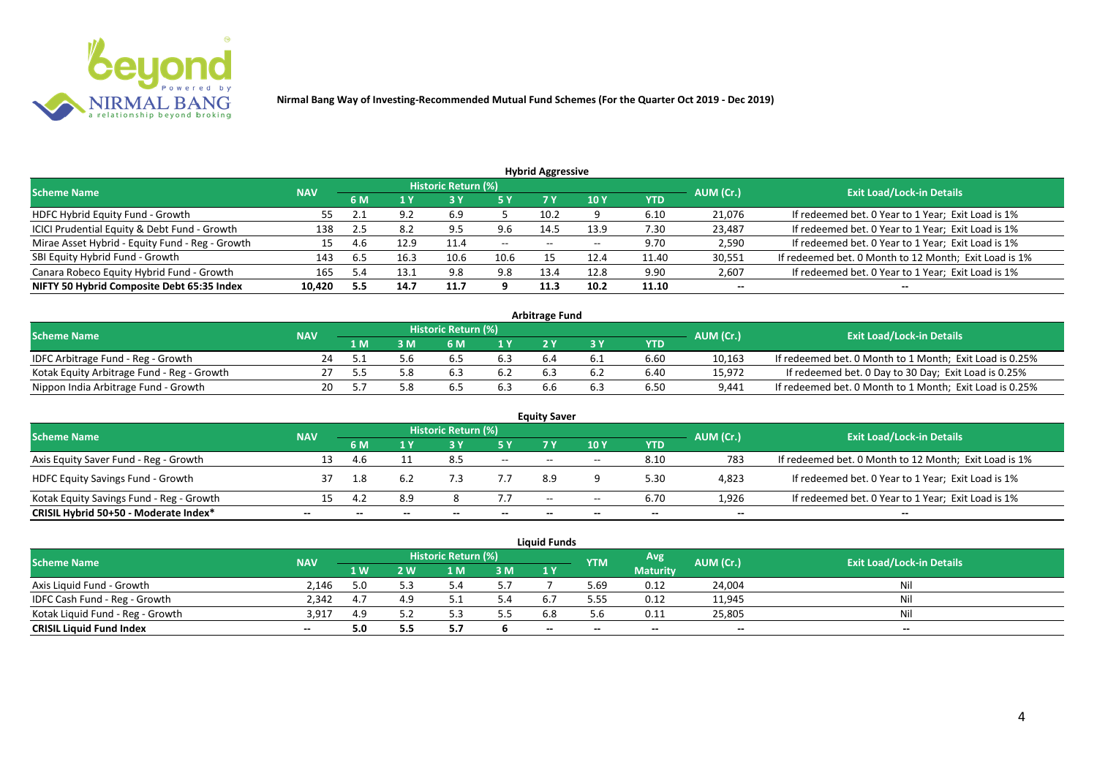

| <b>Hybrid Aggressive</b>                        |            |      |      |                            |               |      |                 |       |           |                                                       |  |  |  |  |
|-------------------------------------------------|------------|------|------|----------------------------|---------------|------|-----------------|-------|-----------|-------------------------------------------------------|--|--|--|--|
| <b>Scheme Name</b>                              | <b>NAV</b> |      |      | <b>Historic Return (%)</b> |               |      |                 |       | AUM (Cr.) | <b>Exit Load/Lock-in Details</b>                      |  |  |  |  |
|                                                 |            | 6 M  | 1 Y  |                            | <b>5Y</b>     | 7 Y  | 10 <sub>Y</sub> | YTD   |           |                                                       |  |  |  |  |
| HDFC Hybrid Equity Fund - Growth                | 55         | 2.1  | 9.2  | 6.9                        |               | 10.2 |                 | 6.10  | 21,076    | If redeemed bet. 0 Year to 1 Year; Exit Load is 1%    |  |  |  |  |
| ICICI Prudential Equity & Debt Fund - Growth    | 138        | -4.5 | 8.2  | 9.5                        | 9.6           | 14.5 | 13.9            | 7.30  | 23,487    | If redeemed bet. 0 Year to 1 Year; Exit Load is 1%    |  |  |  |  |
| Mirae Asset Hybrid - Equity Fund - Reg - Growth | 15         | 4.6  | 12.9 | 11.4                       | $\sim$ $\sim$ | $-$  | $- -$           | 9.70  | 2,590     | If redeemed bet. 0 Year to 1 Year; Exit Load is 1%    |  |  |  |  |
| SBI Equity Hybrid Fund - Growth                 | 143        | 6.5  | 16.3 | 10.6                       | 10.6          |      | 12.4            | 11.40 | 30,551    | If redeemed bet. 0 Month to 12 Month; Exit Load is 1% |  |  |  |  |
| Canara Robeco Equity Hybrid Fund - Growth       | 165        | 5.4  | 13.1 | 9.8                        | 9.8           | 13.4 | 12.8            | 9.90  | 2,607     | If redeemed bet. 0 Year to 1 Year; Exit Load is 1%    |  |  |  |  |
| NIFTY 50 Hybrid Composite Debt 65:35 Index      | 10,420     | 5.5  | 14.7 | 11.7                       |               | 11.3 | 10.2            | 11.10 | $- -$     | $- -$                                                 |  |  |  |  |

| <b>Arbitrage Fund</b>                      |            |     |  |                            |     |     |  |            |           |                                                         |  |  |  |
|--------------------------------------------|------------|-----|--|----------------------------|-----|-----|--|------------|-----------|---------------------------------------------------------|--|--|--|
| <b>Scheme Name</b>                         | <b>NAV</b> |     |  | <b>Historic Return (%)</b> |     |     |  |            | AUM (Cr.) | <b>Exit Load/Lock-in Details</b>                        |  |  |  |
|                                            |            | L M |  | 6 M                        | 4 V |     |  | <b>YTD</b> |           |                                                         |  |  |  |
| IDFC Arbitrage Fund - Reg - Growth         |            |     |  | 6.5                        |     | b.4 |  | 6.60       | 10,163    | If redeemed bet. 0 Month to 1 Month; Exit Load is 0.25% |  |  |  |
| Kotak Equity Arbitrage Fund - Reg - Growth |            |     |  | .ნა                        |     | 6.3 |  | 6.40       | 15,972    | If redeemed bet. 0 Day to 30 Day; Exit Load is 0.25%    |  |  |  |
| Nippon India Arbitrage Fund - Growth       |            |     |  | b.:                        |     | 6.6 |  | 6.50       | 9,441     | If redeemed bet. 0 Month to 1 Month; Exit Load is 0.25% |  |  |  |

|                                          |            |     |     |                     |                          | <b>Equity Saver</b>      |       |            |           |                                                       |
|------------------------------------------|------------|-----|-----|---------------------|--------------------------|--------------------------|-------|------------|-----------|-------------------------------------------------------|
| <b>Scheme Name</b>                       | <b>NAV</b> |     |     | Historic Return (%) |                          |                          |       |            | AUM (Cr.) | <b>Exit Load/Lock-in Details</b>                      |
|                                          |            | 6 M |     |                     |                          |                          | 10Y   | <b>YTD</b> |           |                                                       |
| Axis Equity Saver Fund - Reg - Growth    | 13         | 4.6 |     | 8.5                 | $\overline{\phantom{a}}$ | $-$                      | $-$   | 8.10       | 783       | If redeemed bet. 0 Month to 12 Month; Exit Load is 1% |
| <b>HDFC Equity Savings Fund - Growth</b> |            |     | 6.2 |                     |                          | 8.9                      |       | 5.30       | 4,823     | If redeemed bet. 0 Year to 1 Year; Exit Load is 1%    |
| Kotak Equity Savings Fund - Reg - Growth |            |     | 8.9 |                     |                          | $\overline{\phantom{a}}$ | $- -$ | 6.70       | 1,926     | If redeemed bet. 0 Year to 1 Year; Exit Load is 1%    |
| CRISIL Hybrid 50+50 - Moderate Index*    | --         |     |     | --                  | --                       | --                       | $- -$ |            | $- -$     | $- -$                                                 |

| <b>Liquid Funds</b>              |            |      |     |                            |     |       |            |                 |           |                                  |  |  |  |
|----------------------------------|------------|------|-----|----------------------------|-----|-------|------------|-----------------|-----------|----------------------------------|--|--|--|
| <b>Scheme Name</b>               | <b>NAV</b> |      |     | <b>Historic Return (%)</b> |     |       | <b>YTM</b> | Avg             | AUM (Cr.) | <b>Exit Load/Lock-in Details</b> |  |  |  |
|                                  |            | 1 W/ | 2 W | 1 M                        | 3M  | 1 Y   |            | <b>Maturity</b> |           |                                  |  |  |  |
| Axis Liquid Fund - Growth        | 2.146      |      |     |                            | 5.7 |       | 5.69       | 0.12            | 24,004    | Nil                              |  |  |  |
| IDFC Cash Fund - Reg - Growth    | 2.342      | 4.7  |     |                            | 5.4 |       | 5.55       | 0.12            | 11,945    | Nil                              |  |  |  |
| Kotak Liquid Fund - Reg - Growth | 3.917      | 4.9  |     |                            | 5.5 |       | 5.6        | 0.11            | 25,805    | Nil                              |  |  |  |
| <b>CRISIL Liquid Fund Index</b>  | $- -$      | 5.0  |     | .                          |     | $- -$ | --         | $- -$           | $- -$     | $- -$                            |  |  |  |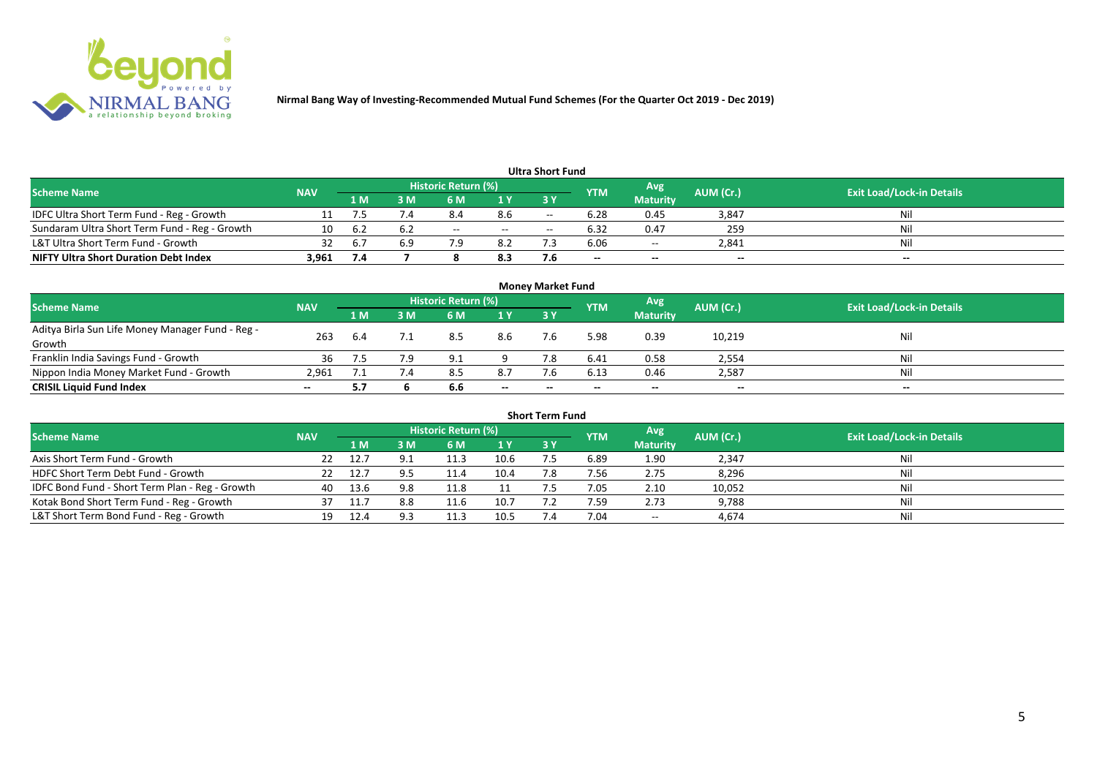

|                                               |            |      |            |                     |        | <b>Ultra Short Fund</b> |            |                 |           |                                  |
|-----------------------------------------------|------------|------|------------|---------------------|--------|-------------------------|------------|-----------------|-----------|----------------------------------|
| <b>Scheme Name</b>                            | <b>NAV</b> |      |            | Historic Return (%) |        |                         | <b>YTM</b> | Avg             | AUM (Cr.) | <b>Exit Load/Lock-in Details</b> |
|                                               |            | '1 M | : M        | 6 M                 | 1Y     | 3Y                      |            | <b>Maturity</b> |           |                                  |
| IDFC Ultra Short Term Fund - Reg - Growth     |            |      | $\sqrt{4}$ | 8.4                 | 8.6    | $- -$                   | 6.28       | 0.45            | 3,847     | Nil                              |
| Sundaram Ultra Short Term Fund - Reg - Growth | 10         | b.2  | 6.2        | $\sim$ $-$          | $\sim$ | $\hspace{0.05cm}$       | 6.32       | 0.47            | 259       | Nil                              |
| L&T Ultra Short Term Fund - Growth            |            |      | 69         |                     | 8.2    |                         | 6.06       | $\sim$          | 2,841     | Nil                              |
| <b>NIFTY Ultra Short Duration Debt Index</b>  | 3.961      | -7.4 |            |                     | 8.3    |                         | $- -$      | $- -$           | $- -$     | $- -$                            |

| <b>Money Market Fund</b>                                   |            |     |                                                        |     |           |                                  |       |                 |        |       |  |  |  |
|------------------------------------------------------------|------------|-----|--------------------------------------------------------|-----|-----------|----------------------------------|-------|-----------------|--------|-------|--|--|--|
| <b>Scheme Name</b>                                         | <b>NAV</b> |     | Historic Return (%)<br>Avg<br>AUM (Cr.)<br><b>IYTM</b> |     |           | <b>Exit Load/Lock-in Details</b> |       |                 |        |       |  |  |  |
|                                                            |            | 1 M | I M                                                    | 6 M | <b>1Y</b> | <b>3Y</b>                        |       | <b>Maturity</b> |        |       |  |  |  |
| Aditya Birla Sun Life Money Manager Fund - Reg -<br>Growth | 263        |     |                                                        | 8.5 | 8.6       |                                  | 5.98  | 0.39            | 10,219 | Nil   |  |  |  |
| Franklin India Savings Fund - Growth                       | 36         |     | 7.9                                                    | 9.1 |           |                                  | 6.41  | 0.58            | 2,554  | Nil   |  |  |  |
| Nippon India Money Market Fund - Growth                    | 2,961      |     |                                                        | 8.5 | 8.7       |                                  | 6.13  | 0.46            | 2,587  | Nil   |  |  |  |
| <b>CRISIL Liquid Fund Index</b>                            | $- -$      |     |                                                        | 6.6 | $- -$     | $- -$                            | $- -$ | $-$             | $- -$  | $- -$ |  |  |  |

| <b>Short Term Fund</b>                          |            |       |     |                     |      |           |            |                 |           |                                  |  |  |  |
|-------------------------------------------------|------------|-------|-----|---------------------|------|-----------|------------|-----------------|-----------|----------------------------------|--|--|--|
| <b>Scheme Name</b>                              | <b>NAV</b> |       |     | Historic Return (%) |      |           | <b>YTM</b> | Avg             | AUM (Cr.) | <b>Exit Load/Lock-in Details</b> |  |  |  |
|                                                 |            | '1 M. | 3 M | 6 M                 | 1Y   | <b>3Y</b> |            | <b>Maturity</b> |           |                                  |  |  |  |
| Axis Short Term Fund - Growth                   |            | 12.7  |     | 11.3                | 10.6 |           | 6.89       | 1.90            | 2,347     | Nil                              |  |  |  |
| HDFC Short Term Debt Fund - Growth              |            | 12.7  |     | 11.4                | 10.4 | 7.8       | 7.56       | 2.75            | 8,296     | Nil                              |  |  |  |
| IDFC Bond Fund - Short Term Plan - Reg - Growth | 40         | 13.6  | 9.8 | 11.8                |      |           | 7.05       | 2.10            | 10,052    | Nil                              |  |  |  |
| Kotak Bond Short Term Fund - Reg - Growth       |            |       | 8.8 | 11.6                | 10.7 |           | 1.59       | 2.73            | 9,788     | Nil                              |  |  |  |
| L&T Short Term Bond Fund - Reg - Growth         | 19         | 12.4  |     | 11.3                | 10.5 |           | 7.04       | $\sim$          | 4,674     | Nil                              |  |  |  |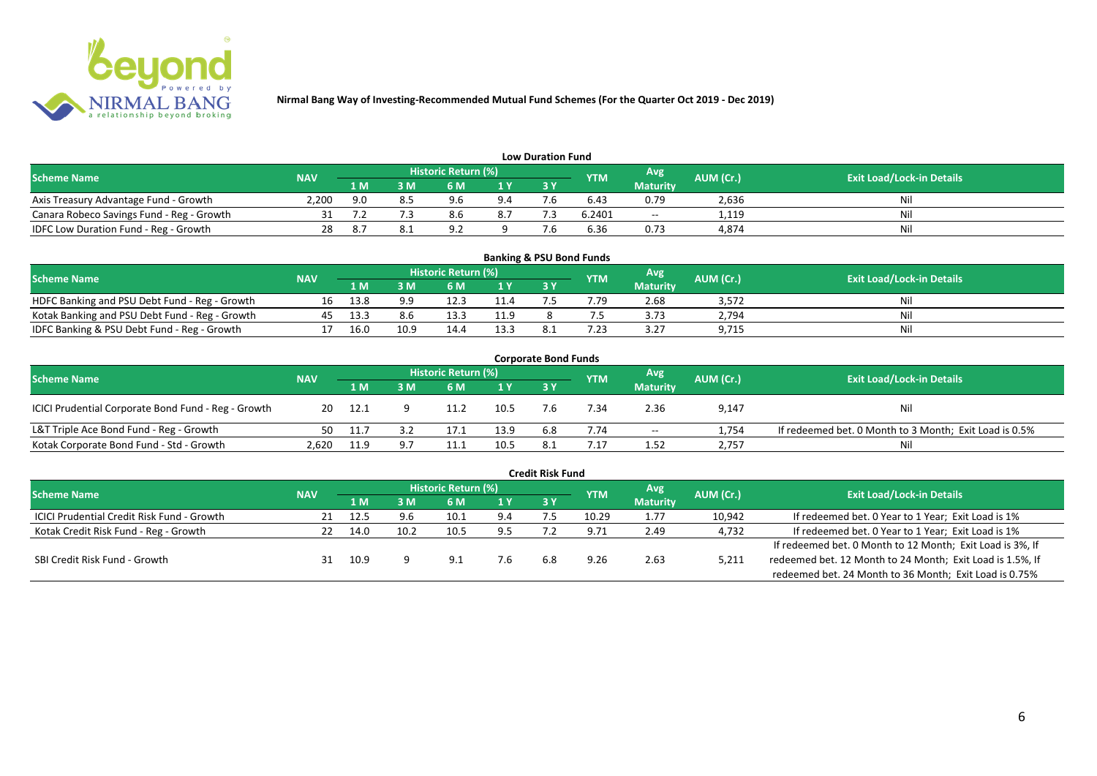

| <b>Low Duration Fund</b>                  |            |     |     |                            |     |      |            |                 |           |                                  |  |  |  |  |
|-------------------------------------------|------------|-----|-----|----------------------------|-----|------|------------|-----------------|-----------|----------------------------------|--|--|--|--|
| <b>Scheme Name</b>                        | <b>NAV</b> |     |     | <b>Historic Return (%)</b> |     |      | <b>YTM</b> | Avg             | AUM (Cr.) | <b>Exit Load/Lock-in Details</b> |  |  |  |  |
|                                           |            | 1 M | 3 M |                            | 1Y  | 73 Y |            | <b>Maturity</b> |           |                                  |  |  |  |  |
| Axis Treasury Advantage Fund - Growth     | 2.200      | 9.0 |     | QG                         | 9.4 |      | 6.43       | 0.79            | 2,636     | Ni                               |  |  |  |  |
| Canara Robeco Savings Fund - Reg - Growth |            |     |     |                            | 8.7 |      | 6.2401     | $-$             | 1,119     | Nil                              |  |  |  |  |
| IDFC Low Duration Fund - Reg - Growth     |            |     |     | $\circ$                    |     |      | 6.36       | 0.73            | 4,874     | Nil                              |  |  |  |  |

| <b>Banking &amp; PSU Bond Funds</b>            |            |      |      |                            |      |           |            |                 |           |                                  |  |  |  |
|------------------------------------------------|------------|------|------|----------------------------|------|-----------|------------|-----------------|-----------|----------------------------------|--|--|--|
| <b>Scheme Name</b>                             | <b>NAV</b> |      |      | <b>Historic Return (%)</b> |      |           | <b>YTM</b> | Avg             | AUM (Cr.) | <b>Exit Load/Lock-in Details</b> |  |  |  |
|                                                |            | 1 M  |      | 6 M                        |      | <b>3Y</b> |            | <b>Maturity</b> |           |                                  |  |  |  |
| HDFC Banking and PSU Debt Fund - Reg - Growth  | 16         | 13.8 | 9.9  |                            | 11.4 |           | /0.79      | 2.68            | 3,572     | Nil                              |  |  |  |
| Kotak Banking and PSU Debt Fund - Reg - Growth | 45         | 13.3 | 8.6  | 13.3                       | 11.9 |           |            | 3.73            | 2,794     | Nil                              |  |  |  |
| IDFC Banking & PSU Debt Fund - Reg - Growth    |            | 16.0 | 10.9 | 14.4                       | 13.3 |           | ົາ         | 3.27            | 9,715     | Nil                              |  |  |  |

| <b>Corporate Bond Funds</b>                         |            |      |     |                            |                |     |            |                 |           |                                                        |  |  |  |
|-----------------------------------------------------|------------|------|-----|----------------------------|----------------|-----|------------|-----------------|-----------|--------------------------------------------------------|--|--|--|
| <b>Scheme Name</b>                                  | <b>NAV</b> |      |     | <b>Historic Return (%)</b> |                |     | <b>YTM</b> | Avg             | AUM (Cr.) | <b>Exit Load/Lock-in Details</b>                       |  |  |  |
|                                                     |            | 1 M  | : M | 6 M                        | 1 <sup>Y</sup> | 3 Y |            | <b>Maturity</b> |           |                                                        |  |  |  |
| ICICI Prudential Corporate Bond Fund - Reg - Growth | 20         | 12.1 |     |                            | 10.5           |     | '.34       | 2.36            | 9,147     | <b>Nil</b>                                             |  |  |  |
| L&T Triple Ace Bond Fund - Reg - Growth             | 50         | 11.7 |     | 17.:                       | 13.9           | 6.8 | 7.74       | $- -$           | 1,754     | If redeemed bet. 0 Month to 3 Month; Exit Load is 0.5% |  |  |  |
| Kotak Corporate Bond Fund - Std - Growth            | 2.620      | 11.9 |     |                            | 10.5           |     |            | 1.52            | 2,757     | Nil                                                    |  |  |  |

|                                                   |            |      |      |                            |     | <b>Credit Risk Fund</b> |            |                 |           |                                                           |
|---------------------------------------------------|------------|------|------|----------------------------|-----|-------------------------|------------|-----------------|-----------|-----------------------------------------------------------|
| <b>Scheme Name</b>                                | <b>NAV</b> |      |      | <b>Historic Return (%)</b> |     |                         | <b>YTM</b> | Avg             | AUM (Cr.) | <b>Exit Load/Lock-in Details</b>                          |
|                                                   |            | 1 M  | I M  | 6 M                        | 1 Y | 3 Y                     |            | <b>Maturity</b> |           |                                                           |
| <b>ICICI Prudential Credit Risk Fund - Growth</b> | 21         | 12.5 | 9.6  | 10.1                       | 9.4 |                         | 10.29      | 1.77            | 10,942    | If redeemed bet. 0 Year to 1 Year; Exit Load is 1%        |
| Kotak Credit Risk Fund - Reg - Growth             |            | 14.0 | 10.2 | 10.5                       | 9.5 |                         | 9.71       | 2.49            | 4,732     | If redeemed bet. 0 Year to 1 Year; Exit Load is 1%        |
|                                                   |            |      |      |                            |     |                         |            |                 |           | If redeemed bet. 0 Month to 12 Month; Exit Load is 3%, If |
| SBI Credit Risk Fund - Growth                     |            | 10.9 |      | ∩ q                        | 7.6 | 6.8                     | 9.26       | 2.63            | 5,211     | redeemed bet. 12 Month to 24 Month; Exit Load is 1.5%, If |
|                                                   |            |      |      |                            |     |                         |            |                 |           | redeemed bet. 24 Month to 36 Month; Exit Load is 0.75%    |